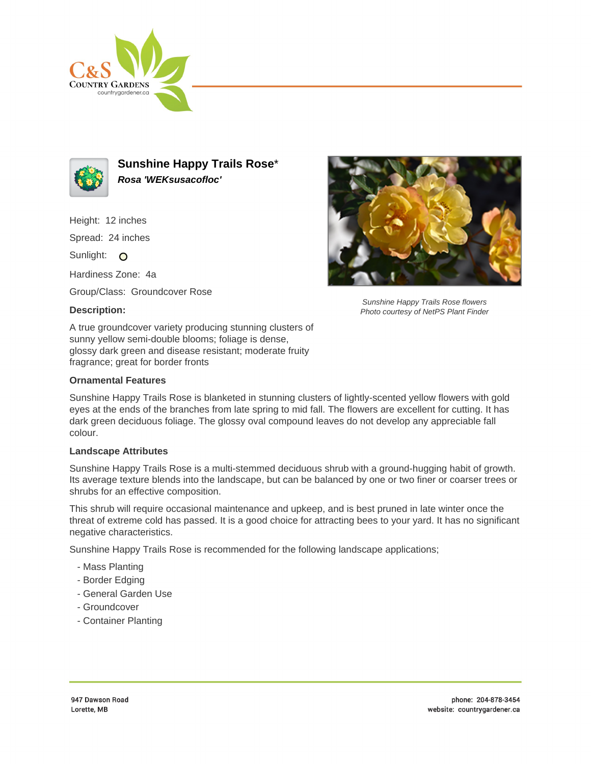



**Sunshine Happy Trails Rose**\* **Rosa 'WEKsusacofloc'**

Height: 12 inches

Spread: 24 inches

Sunlight: O

Hardiness Zone: 4a

Group/Class: Groundcover Rose

## **Description:**

A true groundcover variety producing stunning clusters of sunny yellow semi-double blooms; foliage is dense, glossy dark green and disease resistant; moderate fruity fragrance; great for border fronts

## **Ornamental Features**

Sunshine Happy Trails Rose is blanketed in stunning clusters of lightly-scented yellow flowers with gold eyes at the ends of the branches from late spring to mid fall. The flowers are excellent for cutting. It has dark green deciduous foliage. The glossy oval compound leaves do not develop any appreciable fall colour.

## **Landscape Attributes**

Sunshine Happy Trails Rose is a multi-stemmed deciduous shrub with a ground-hugging habit of growth. Its average texture blends into the landscape, but can be balanced by one or two finer or coarser trees or shrubs for an effective composition.

This shrub will require occasional maintenance and upkeep, and is best pruned in late winter once the threat of extreme cold has passed. It is a good choice for attracting bees to your yard. It has no significant negative characteristics.

Sunshine Happy Trails Rose is recommended for the following landscape applications;

- Mass Planting
- Border Edging
- General Garden Use
- Groundcover
- Container Planting



Sunshine Happy Trails Rose flowers Photo courtesy of NetPS Plant Finder